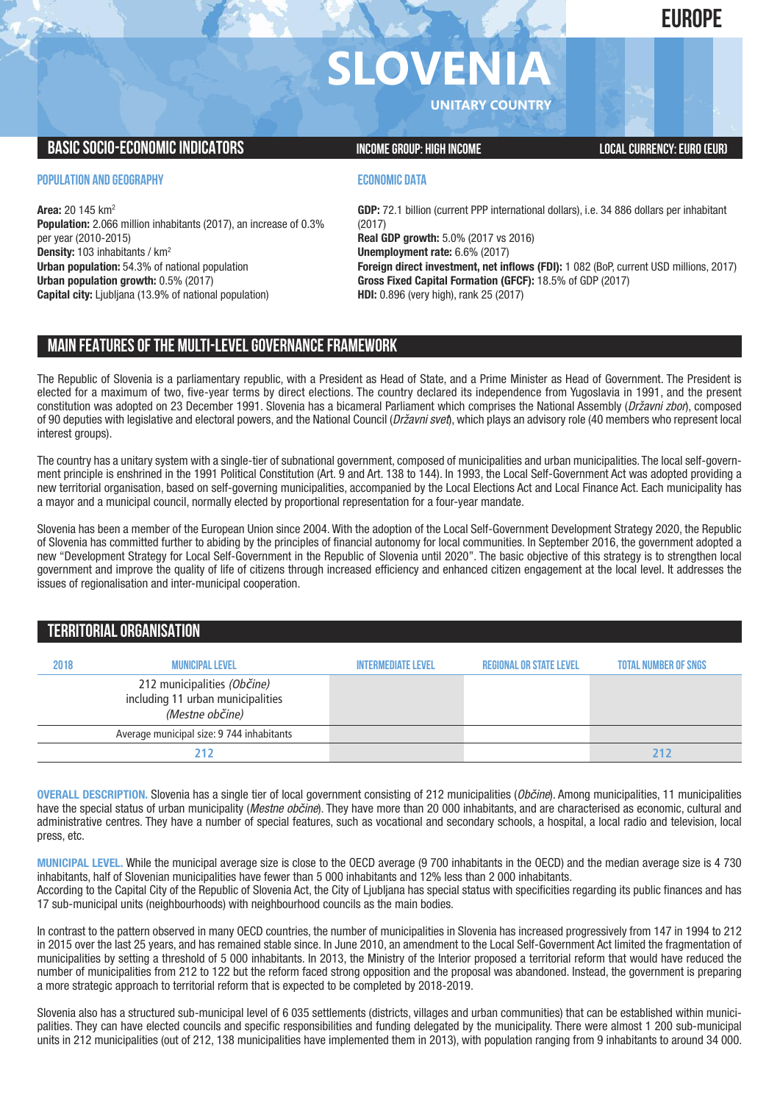**EUROPE**

# **SLOVENI**

**UNITARY COUNTRY**

#### **BASIC SOCIO-ECONOMIC INDICATORS INCOME GROUP:** HIGH INCOME GROUP: HIGH INCOME

#### **POPULATION AND GEOGRAPHY**

**Area:** 20 145 km2 **Population:** 2.066 million inhabitants (2017), an increase of 0.3% per year (2010-2015) **Density:** 103 inhabitants / km2 **Urban population:** 54.3% of national population **Urban population growth:** 0.5% (2017) **Capital city:** Ljubljana (13.9% of national population)

#### **ECONOMIC DATA**

**GDP:** 72.1 billion (current PPP international dollars), i.e. 34 886 dollars per inhabitant (2017) **Real GDP growth:** 5.0% (2017 vs 2016) **Unemployment rate:** 6.6% (2017) **Foreign direct investment, net inflows (FDI):** 1 082 (BoP, current USD millions, 2017) **Gross Fixed Capital Formation (GFCF):** 18.5% of GDP (2017) **HDI:** 0.896 (very high), rank 25 (2017)

#### **MAIN FEATURESOFTHE MULTI-LEVELGOVERNANCEFRAMEWORK**

The Republic of Slovenia is a parliamentary republic, with a President as Head of State, and a Prime Minister as Head of Government. The President is elected for a maximum of two, five-year terms by direct elections. The country declared its independence from Yugoslavia in 1991, and the present constitution was adopted on 23 December 1991. Slovenia has a bicameral Parliament which comprises the National Assembly (*Državni zbor*), composed of 90 deputies with legislative and electoral powers, and the National Council (*Državni svet*), which plays an advisory role (40 members who represent local interest groups).

The country has a unitary system with a single-tier of subnational government, composed of municipalities and urban municipalities. The local self-government principle is enshrined in the 1991 Political Constitution (Art. 9 and Art. 138 to 144). In 1993, the Local Self-Government Act was adopted providing a new territorial organisation, based on self-governing municipalities, accompanied by the Local Elections Act and Local Finance Act. Each municipality has a mayor and a municipal council, normally elected by proportional representation for a four-year mandate.

Slovenia has been a member of the European Union since 2004. With the adoption of the Local Self-Government Development Strategy 2020, the Republic of Slovenia has committed further to abiding by the principles of financial autonomy for local communities. In September 2016, the government adopted a new "Development Strategy for Local Self-Government in the Republic of Slovenia until 2020". The basic objective of this strategy is to strengthen local government and improve the quality of life of citizens through increased efficiency and enhanced citizen engagement at the local level. It addresses the issues of regionalisation and inter-municipal cooperation.

#### **TERRITORIALORGANISATION**

| 2018 | <b>MUNICIPAL LEVEL</b>                                                              | <b>INTERMEDIATE LEVEL</b> | <b>REGIONAL OR STATE LEVEL</b> | <b>TOTAL NUMBER OF SNGS</b> |
|------|-------------------------------------------------------------------------------------|---------------------------|--------------------------------|-----------------------------|
|      | 212 municipalities (Občine)<br>including 11 urban municipalities<br>(Mestne občine) |                           |                                |                             |
|      | Average municipal size: 9 744 inhabitants                                           |                           |                                |                             |
|      |                                                                                     |                           |                                |                             |

**OVERALL DESCRIPTION.** Slovenia has a single tier of local government consisting of 212 municipalities (*Občine*). Among municipalities, 11 municipalities have the special status of urban municipality (*Mestne občine*). They have more than 20 000 inhabitants, and are characterised as economic, cultural and administrative centres. They have a number of special features, such as vocational and secondary schools, a hospital, a local radio and television, local press, etc.

**MUNICIPAL LEVEL.** While the municipal average size is close to the OECD average (9 700 inhabitants in the OECD) and the median average size is 4 730 inhabitants, half of Slovenian municipalities have fewer than 5 000 inhabitants and 12% less than 2 000 inhabitants. According to the Capital City of the Republic of Slovenia Act, the City of Ljubljana has special status with specificities regarding its public finances and has 17 sub-municipal units (neighbourhoods) with neighbourhood councils as the main bodies.

In contrast to the pattern observed in many OECD countries, the number of municipalities in Slovenia has increased progressively from 147 in 1994 to 212 in 2015 over the last 25 years, and has remained stable since. In June 2010, an amendment to the Local Self-Government Act limited the fragmentation of municipalities by setting a threshold of 5 000 inhabitants. In 2013, the Ministry of the Interior proposed a territorial reform that would have reduced the number of municipalities from 212 to 122 but the reform faced strong opposition and the proposal was abandoned. Instead, the government is preparing a more strategic approach to territorial reform that is expected to be completed by 2018-2019.

Slovenia also has a structured sub-municipal level of 6 035 settlements (districts, villages and urban communities) that can be established within municipalities. They can have elected councils and specific responsibilities and funding delegated by the municipality. There were almost 1 200 sub-municipal units in 212 municipalities (out of 212, 138 municipalities have implemented them in 2013), with population ranging from 9 inhabitants to around 34 000.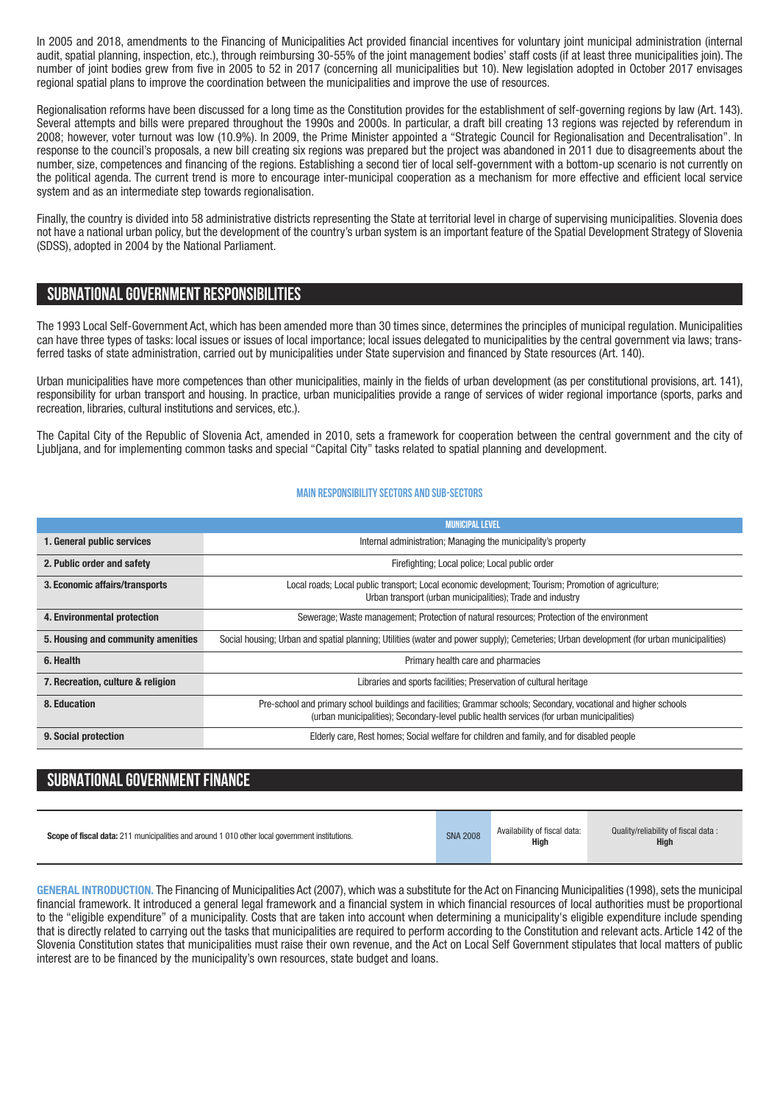In 2005 and 2018, amendments to the Financing of Municipalities Act provided financial incentives for voluntary joint municipal administration (internal audit, spatial planning, inspection, etc.), through reimbursing 30-55% of the joint management bodies' staff costs (if at least three municipalities join). The number of joint bodies grew from five in 2005 to 52 in 2017 (concerning all municipalities but 10). New legislation adopted in October 2017 envisages regional spatial plans to improve the coordination between the municipalities and improve the use of resources.

Regionalisation reforms have been discussed for a long time as the Constitution provides for the establishment of self-governing regions by law (Art. 143). Several attempts and bills were prepared throughout the 1990s and 2000s. In particular, a draft bill creating 13 regions was rejected by referendum in 2008; however, voter turnout was low (10.9%). In 2009, the Prime Minister appointed a "Strategic Council for Regionalisation and Decentralisation". In response to the council's proposals, a new bill creating six regions was prepared but the project was abandoned in 2011 due to disagreements about the number, size, competences and financing of the regions. Establishing a second tier of local self-government with a bottom-up scenario is not currently on the political agenda. The current trend is more to encourage inter-municipal cooperation as a mechanism for more effective and efficient local service system and as an intermediate step towards regionalisation.

Finally, the country is divided into 58 administrative districts representing the State at territorial level in charge of supervising municipalities. Slovenia does not have a national urban policy, but the development of the country's urban system is an important feature of the Spatial Development Strategy of Slovenia (SDSS), adopted in 2004 by the National Parliament.

#### **SUBNATIONALGOVERNMENT RESPONSIBILITIES**

The 1993 Local Self-Government Act, which has been amended more than 30 times since, determines the principles of municipal regulation. Municipalities can have three types of tasks: local issues or issues of local importance; local issues delegated to municipalities by the central government via laws; transferred tasks of state administration, carried out by municipalities under State supervision and financed by State resources (Art. 140).

Urban municipalities have more competences than other municipalities, mainly in the fields of urban development (as per constitutional provisions, art. 141), responsibility for urban transport and housing. In practice, urban municipalities provide a range of services of wider regional importance (sports, parks and recreation, libraries, cultural institutions and services, etc.).

The Capital City of the Republic of Slovenia Act, amended in 2010, sets a framework for cooperation between the central government and the city of Ljubljana, and for implementing common tasks and special "Capital City" tasks related to spatial planning and development.

#### **Main responsibilitysectors and sub-sectors**

|                                    | <b>MUNICIPAL LEVEL</b>                                                                                                                                                                                         |  |  |  |  |
|------------------------------------|----------------------------------------------------------------------------------------------------------------------------------------------------------------------------------------------------------------|--|--|--|--|
| 1. General public services         | Internal administration; Managing the municipality's property                                                                                                                                                  |  |  |  |  |
| 2. Public order and safety         | Firefighting; Local police; Local public order                                                                                                                                                                 |  |  |  |  |
| 3. Economic affairs/transports     | Local roads; Local public transport; Local economic development; Tourism; Promotion of agriculture;<br>Urban transport (urban municipalities); Trade and industry                                              |  |  |  |  |
| 4. Environmental protection        | Sewerage; Waste management; Protection of natural resources; Protection of the environment                                                                                                                     |  |  |  |  |
| 5. Housing and community amenities | Social housing; Urban and spatial planning; Utilities (water and power supply); Cemeteries; Urban development (for urban municipalities)                                                                       |  |  |  |  |
| 6. Health                          | Primary health care and pharmacies                                                                                                                                                                             |  |  |  |  |
| 7. Recreation, culture & religion  | Libraries and sports facilities; Preservation of cultural heritage                                                                                                                                             |  |  |  |  |
| 8. Education                       | Pre-school and primary school buildings and facilities; Grammar schools; Secondary, vocational and higher schools<br>(urban municipalities); Secondary-level public health services (for urban municipalities) |  |  |  |  |
| 9. Social protection               | Elderly care, Rest homes; Social welfare for children and family, and for disabled people                                                                                                                      |  |  |  |  |

### **SUBNATIONAL GOVERNMENT FINANCE**

| <b>Scope of fiscal data:</b> 211 municipalities and around 1 010 other local government institutions. | <b>SNA 2008</b> | Availability of fiscal data:<br>High | Quality/reliability of fiscal data:<br><b>High</b> |
|-------------------------------------------------------------------------------------------------------|-----------------|--------------------------------------|----------------------------------------------------|
|-------------------------------------------------------------------------------------------------------|-----------------|--------------------------------------|----------------------------------------------------|

GENERAL INTRODUCTION. The Financing of Municipalities Act (2007), which was a substitute for the Act on Financing Municipalities (1998), sets the municipal financial framework. It introduced a general legal framework and a financial system in which financial resources of local authorities must be proportional to the "eligible expenditure" of a municipality. Costs that are taken into account when determining a municipality's eligible expenditure include spending that is directly related to carrying out the tasks that municipalities are required to perform according to the Constitution and relevant acts. Article 142 of the Slovenia Constitution states that municipalities must raise their own revenue, and the Act on Local Self Government stipulates that local matters of public interest are to be financed by the municipality's own resources, state budget and loans.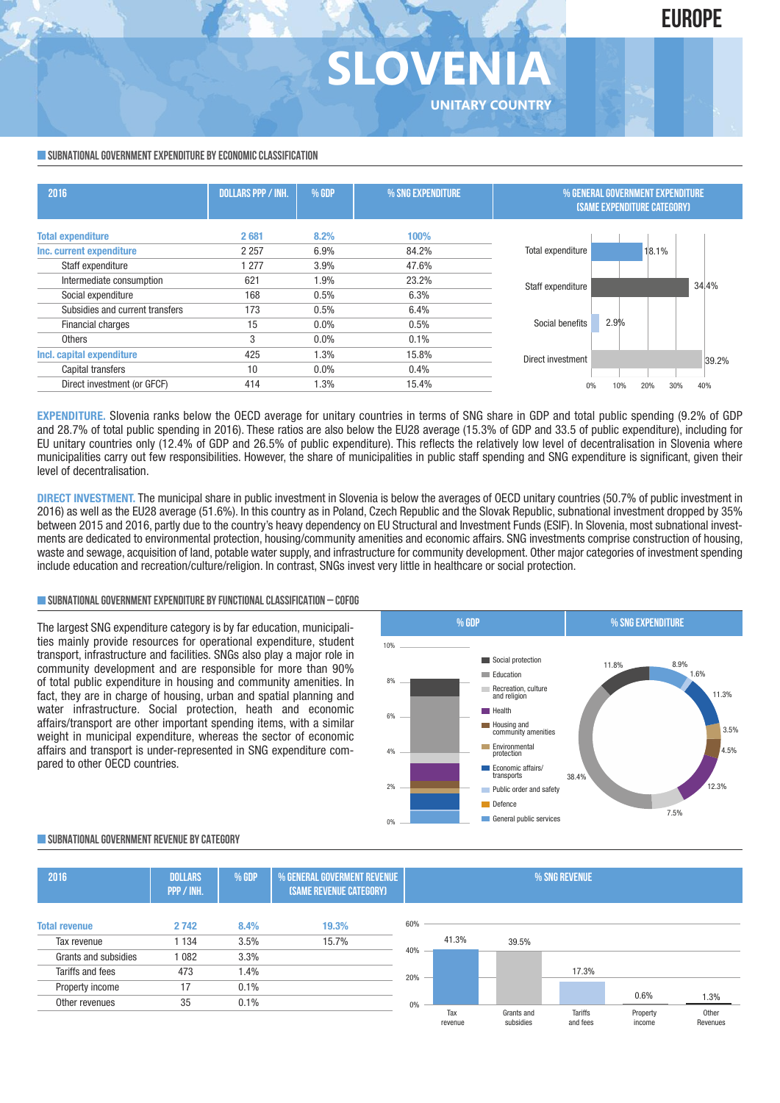## **SLOVEN UNITARY COUNTRY**

#### **SUBNATIONAL GOVERNMENT EXPENDITURE BY ECONOMIC CLASSIFICATION**

| 2016                            | <b>DOLLARS PPP / INH.</b> | % GDP   | % SNG EXPENDITURE | % GENERAL GOVERNMENT EXPENDITURE<br><b>(SAME EXPENDITURE CATEGORY)</b> |  |  |  |
|---------------------------------|---------------------------|---------|-------------------|------------------------------------------------------------------------|--|--|--|
| <b>Total expenditure</b>        | 2681                      | 8.2%    | 100%              |                                                                        |  |  |  |
| Inc. current expenditure        | 2 2 5 7                   | 6.9%    | 84.2%             | Total expenditure<br>18.1%                                             |  |  |  |
| Staff expenditure               | 277                       | 3.9%    | 47.6%             |                                                                        |  |  |  |
| Intermediate consumption        | 621                       | 1.9%    | 23.2%             | 34.4%<br>Staff expenditure                                             |  |  |  |
| Social expenditure              | 168                       | 0.5%    | 6.3%              |                                                                        |  |  |  |
| Subsidies and current transfers | 173                       | 0.5%    | 6.4%              |                                                                        |  |  |  |
| Financial charges               | 15                        | $0.0\%$ | 0.5%              | 2.9%<br>Social benefits                                                |  |  |  |
| <b>Others</b>                   | 3                         | $0.0\%$ | 0.1%              |                                                                        |  |  |  |
| Incl. capital expenditure       | 425                       | 1.3%    | 15.8%             | Direct investment<br>39.2%                                             |  |  |  |
| Capital transfers               | 10                        | $0.0\%$ | 0.4%              |                                                                        |  |  |  |
| Direct investment (or GFCF)     | 414                       | 1.3%    | 15.4%             | 30%<br>40%<br>10%<br>20%                                               |  |  |  |

**EXPENDITURE.** Slovenia ranks below the OECD average for unitary countries in terms of SNG share in GDP and total public spending (9.2% of GDP and 28.7% of total public spending in 2016). These ratios are also below the EU28 average (15.3% of GDP and 33.5 of public expenditure), including for EU unitary countries only (12.4% of GDP and 26.5% of public expenditure). This reflects the relatively low level of decentralisation in Slovenia where municipalities carry out few responsibilities. However, the share of municipalities in public staff spending and SNG expenditure is significant, given their level of decentralisation.

**DIRECT INVESTMENT.** The municipal share in public investment in Slovenia is below the averages of OECD unitary countries (50.7% of public investment in 2016) as well as the EU28 average (51.6%). In this country as in Poland, Czech Republic and the Slovak Republic, subnational investment dropped by 35% between 2015 and 2016, partly due to the country's heavy dependency on EU Structural and Investment Funds (ESIF). In Slovenia, most subnational investments are dedicated to environmental protection, housing/community amenities and economic affairs. SNG investments comprise construction of housing, waste and sewage, acquisition of land, potable water supply, and infrastructure for community development. Other major categories of investment spending include education and recreation/culture/religion. In contrast, SNGs invest very little in healthcare or social protection.

#### **SUBNATIONALGOVERNMENTEXPENDITURE BYFUNCTIONALCLASSIFICATION – COFOG**

The largest SNG expenditure category is by far education, municipalities mainly provide resources for operational expenditure, student transport, infrastructure and facilities. SNGs also play a major role in community development and are responsible for more than 90% of total public expenditure in housing and community amenities. In fact, they are in charge of housing, urban and spatial planning and water infrastructure. Social protection, heath and economic affairs/transport are other important spending items, with a similar weight in municipal expenditure, whereas the sector of economic affairs and transport is under-represented in SNG expenditure compared to other OECD countries.



#### **SUBNATIONALGOVERNMENT REVENUE BYCATEGORY**

| 2016                 | <b>DOLLARS</b><br>PPP / INH. | % GDP | % GENERAL GOVERMENT REVENUE<br>(SAME REVENUE CATEGORY) |     | % SNG REVENUE  |                         |  |                     |                    |                   |
|----------------------|------------------------------|-------|--------------------------------------------------------|-----|----------------|-------------------------|--|---------------------|--------------------|-------------------|
| <b>Total revenue</b> | 2742                         | 8.4%  | 19.3%                                                  | 60% |                |                         |  |                     |                    |                   |
| Tax revenue          | 1 1 3 4                      | 3.5%  | 15.7%                                                  |     | 41.3%          | 39.5%                   |  |                     |                    |                   |
| Grants and subsidies | 1082                         | 3.3%  |                                                        | 40% |                |                         |  |                     |                    |                   |
| Tariffs and fees     | 473                          | 1.4%  |                                                        | 20% |                |                         |  | 17.3%               |                    |                   |
| Property income      | 17                           | 0.1%  |                                                        |     |                |                         |  |                     |                    |                   |
| Other revenues       | 35                           | 0.1%  |                                                        | 0%  |                |                         |  |                     | 0.6%               | 1.3%              |
|                      |                              |       |                                                        |     | Tax<br>revenue | Grants and<br>subsidies |  | Tariffs<br>and fees | Property<br>income | Other<br>Revenues |